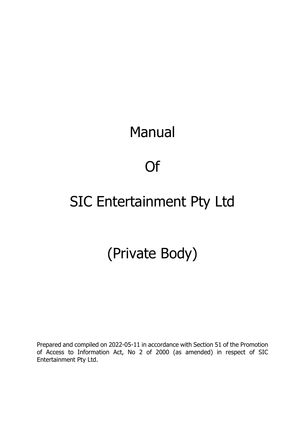# Manual

# Of

# SIC Entertainment Pty Ltd

# (Private Body)

Prepared and compiled on 2022-05-11 in accordance with Section 51 of the Promotion of Access to Information Act, No 2 of 2000 (as amended) in respect of SIC Entertainment Pty Ltd.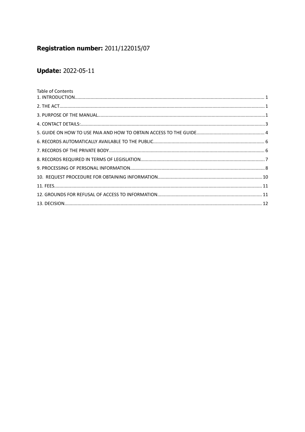# Registration number: 2011/122015/07

# **Update: 2022-05-11**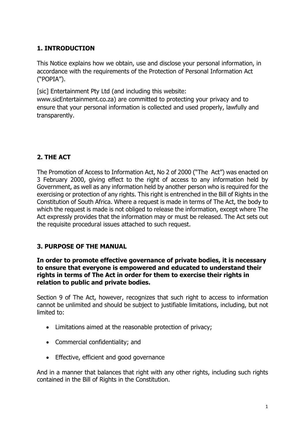## <span id="page-2-0"></span>**1. INTRODUCTION**

This Notice explains how we obtain, use and disclose your personal information, in accordance with the requirements of the Protection of Personal Information Act ("POPIA").

[sic] Entertainment Pty Ltd (and including this website:

www.sicEntertainment.co.za) are committed to protecting your privacy and to ensure that your personal information is collected and used properly, lawfully and transparently.

## <span id="page-2-1"></span>**2. THE ACT**

The Promotion of Access to Information Act, No 2 of 2000 ("The Act") was enacted on 3 February 2000, giving effect to the right of access to any information held by Government, as well as any information held by another person who is required for the exercising or protection of any rights. This right is entrenched in the Bill of Rights in the Constitution of South Africa. Where a request is made in terms of The Act, the body to which the request is made is not obliged to release the information, except where The Act expressly provides that the information may or must be released. The Act sets out the requisite procedural issues attached to such request.

### <span id="page-2-2"></span>**3. PURPOSE OF THE MANUAL**

#### **In order to promote effective governance of private bodies, it is necessary to ensure that everyone is empowered and educated to understand their rights in terms of The Act in order for them to exercise their rights in relation to public and private bodies.**

Section 9 of The Act, however, recognizes that such right to access to information cannot be unlimited and should be subject to justifiable limitations, including, but not limited to:

- Limitations aimed at the reasonable protection of privacy;
- Commercial confidentiality; and
- **•** Effective, efficient and good governance

And in a manner that balances that right with any other rights, including such rights contained in the Bill of Rights in the Constitution.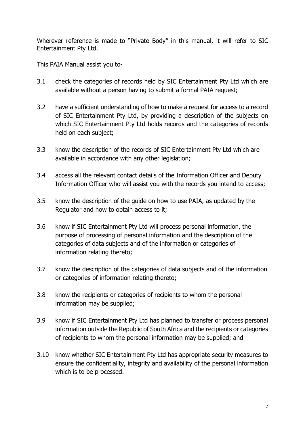Wherever reference is made to "Private Body" in this manual, it will refer to SIC Entertainment Pty Ltd.

This PAIA Manual assist you to-

- 3.1 check the categories of records held by SIC Entertainment Pty Ltd which are available without a person having to submit a formal PAIA request;
- 3.2 have a sufficient understanding of how to make a request for access to a record of SIC Entertainment Pty Ltd, by providing a description of the subjects on which SIC Entertainment Pty Ltd holds records and the categories of records held on each subject;
- 3.3 know the description of the records of SIC Entertainment Pty Ltd which are available in accordance with any other legislation;
- 3.4 access all the relevant contact details of the Information Officer and Deputy Information Officer who will assist you with the records you intend to access;
- 3.5 know the description of the guide on how to use PAIA, as updated by the Regulator and how to obtain access to it;
- 3.6 know if SIC Entertainment Pty Ltd will process personal information, the purpose of processing of personal information and the description of the categories of data subjects and of the information or categories of information relating thereto;
- 3.7 know the description of the categories of data subjects and of the information or categories of information relating thereto;
- 3.8 know the recipients or categories of recipients to whom the personal information may be supplied;
- 3.9 know if SIC Entertainment Pty Ltd has planned to transfer or process personal information outside the Republic of South Africa and the recipients or categories of recipients to whom the personal information may be supplied; and
- 3.10 know whether SIC Entertainment Pty Ltd has appropriate security measures to ensure the confidentiality, integrity and availability of the personal information which is to be processed.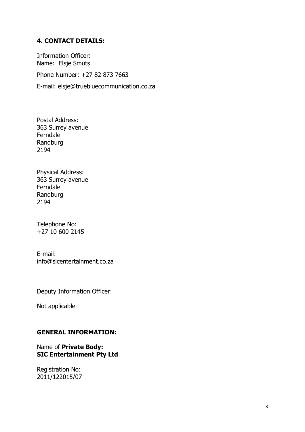#### <span id="page-4-0"></span>**4. CONTACT DETAILS:**

Information Officer: Name: Elsje Smuts

Phone Number: +27 82 873 7663

E-mail: elsje@truebluecommunication.co.za

Postal Address: 363 Surrey avenue Ferndale Randburg 2194

Physical Address: 363 Surrey avenue Ferndale Randburg 2194

Telephone No: +27 10 600 2145

E-mail: info@sicentertainment.co.za

Deputy Information Officer:

Not applicable

#### **GENERAL INFORMATION:**

#### Name of **Private Body: SIC Entertainment Pty Ltd**

Registration No: 2011/122015/07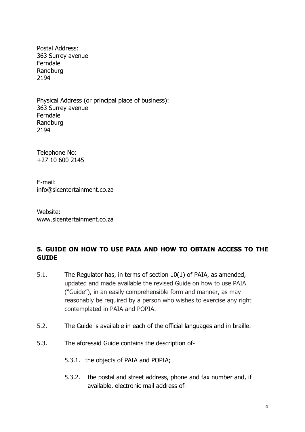Postal Address: 363 Surrey avenue Ferndale Randburg 2194

Physical Address (or principal place of business): 363 Surrey avenue Ferndale Randburg 2194

Telephone No: +27 10 600 2145

E-mail: info@sicentertainment.co.za

Website: www.sicentertainment.co.za

## <span id="page-5-0"></span>**5. GUIDE ON HOW TO USE PAIA AND HOW TO OBTAIN ACCESS TO THE GUIDE**

- 5.1. The Regulator has, in terms of section 10(1) of PAIA, as amended, updated and made available the revised Guide on how to use PAIA ("Guide"), in an easily comprehensible form and manner, as may reasonably be required by a person who wishes to exercise any right contemplated in PAIA and POPIA.
- 5.2. The Guide is available in each of the official languages and in braille.
- 5.3. The aforesaid Guide contains the description of-
	- 5.3.1. the objects of PAIA and POPIA;
	- 5.3.2. the postal and street address, phone and fax number and, if available, electronic mail address of-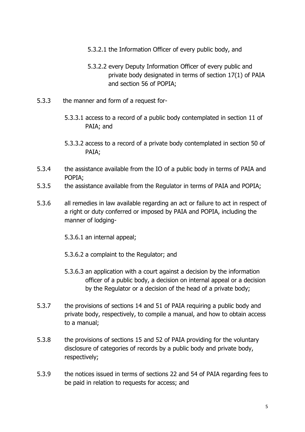- 5.3.2.1 the Information Officer of every public body, and
- 5.3.2.2 every Deputy Information Officer of every public and private body designated in terms of section 17(1) of PAIA and section 56 of POPIA;
- 5.3.3 the manner and form of a request for-
	- 5.3.3.1 access to a record of a public body contemplated in section 11 of PAIA; and
	- 5.3.3.2 access to a record of a private body contemplated in section 50 of PAIA;
- 5.3.4 the assistance available from the IO of a public body in terms of PAIA and POPIA;
- 5.3.5 the assistance available from the Regulator in terms of PAIA and POPIA;
- 5.3.6 all remedies in law available regarding an act or failure to act in respect of a right or duty conferred or imposed by PAIA and POPIA, including the manner of lodging-
	- 5.3.6.1 an internal appeal;
	- 5.3.6.2 a complaint to the Regulator; and
	- 5.3.6.3 an application with a court against a decision by the information officer of a public body, a decision on internal appeal or a decision by the Regulator or a decision of the head of a private body;
- 5.3.7 the provisions of sections 14 and 51 of PAIA requiring a public body and private body, respectively, to compile a manual, and how to obtain access to a manual;
- 5.3.8 the provisions of sections 15 and 52 of PAIA providing for the voluntary disclosure of categories of records by a public body and private body, respectively;
- 5.3.9 the notices issued in terms of sections 22 and 54 of PAIA regarding fees to be paid in relation to requests for access; and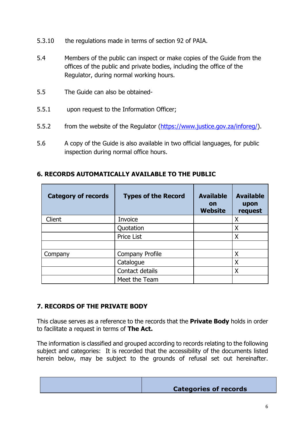- 5.3.10 the regulations made in terms of section 92 of PAIA.
- 5.4 Members of the public can inspect or make copies of the Guide from the offices of the public and private bodies, including the office of the Regulator, during normal working hours.
- 5.5 The Guide can also be obtained-
- 5.5.1 upon request to the Information Officer;
- 5.5.2 from the website of the Regulator [\(https://www.justice.gov.za/inforeg/](https://www.justice.gov.za/inforeg/)).
- 5.6 A copy of the Guide is also available in two official languages, for public inspection during normal office hours.

| <b>Category of records</b> | <b>Types of the Record</b> | <b>Available</b><br>on<br><b>Website</b> | <b>Available</b><br>upon<br>request |
|----------------------------|----------------------------|------------------------------------------|-------------------------------------|
| Client                     | Invoice                    |                                          | X                                   |
|                            | Quotation                  |                                          | X                                   |
|                            | Price List                 |                                          | X                                   |
|                            |                            |                                          |                                     |
| Company                    | <b>Company Profile</b>     |                                          | X                                   |
|                            | Catalogue                  |                                          | X                                   |
|                            | Contact details            |                                          | Χ                                   |
|                            | Meet the Team              |                                          |                                     |

### <span id="page-7-0"></span>**6. RECORDS AUTOMATICALLY AVAILABLE TO THE PUBLIC**

### <span id="page-7-1"></span>**7. RECORDS OF THE PRIVATE BODY**

This clause serves as a reference to the records that the **Private Body** holds in order to facilitate a request in terms of **The Act.**

The information is classified and grouped according to records relating to the following subject and categories: It is recorded that the accessibility of the documents listed herein below, may be subject to the grounds of refusal set out hereinafter.

| <b>Categories of records</b> |
|------------------------------|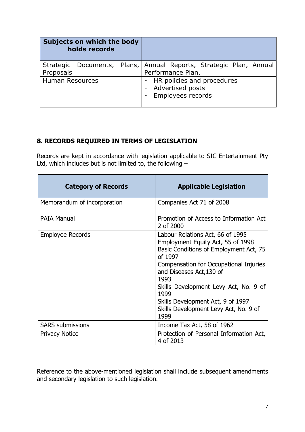|                        | Subjects on which the body<br>holds records |                                                                                         |
|------------------------|---------------------------------------------|-----------------------------------------------------------------------------------------|
| Proposals              |                                             | Strategic Documents, Plans, Annual Reports, Strategic Plan, Annual<br>Performance Plan. |
| <b>Human Resources</b> |                                             | - HR policies and procedures<br><b>Advertised posts</b><br><b>Employees records</b>     |

## <span id="page-8-0"></span>**8. RECORDS REQUIRED IN TERMS OF LEGISLATION**

Records are kept in accordance with legislation applicable to SIC Entertainment Pty Ltd, which includes but is not limited to, the following –

| <b>Category of Records</b>  | <b>Applicable Legislation</b>                                                                                                                                                                                                                                                                                                                   |
|-----------------------------|-------------------------------------------------------------------------------------------------------------------------------------------------------------------------------------------------------------------------------------------------------------------------------------------------------------------------------------------------|
| Memorandum of incorporation | Companies Act 71 of 2008                                                                                                                                                                                                                                                                                                                        |
| <b>PAIA Manual</b>          | Promotion of Access to Information Act<br>2 of 2000                                                                                                                                                                                                                                                                                             |
| <b>Employee Records</b>     | Labour Relations Act, 66 of 1995<br>Employment Equity Act, 55 of 1998<br>Basic Conditions of Employment Act, 75<br>of 1997<br>Compensation for Occupational Injuries<br>and Diseases Act, 130 of<br>1993<br>Skills Development Levy Act, No. 9 of<br>1999<br>Skills Development Act, 9 of 1997<br>Skills Development Levy Act, No. 9 of<br>1999 |
| <b>SARS</b> submissions     | Income Tax Act, 58 of 1962                                                                                                                                                                                                                                                                                                                      |
| <b>Privacy Notice</b>       | Protection of Personal Information Act,<br>4 of 2013                                                                                                                                                                                                                                                                                            |

Reference to the above-mentioned legislation shall include subsequent amendments and secondary legislation to such legislation.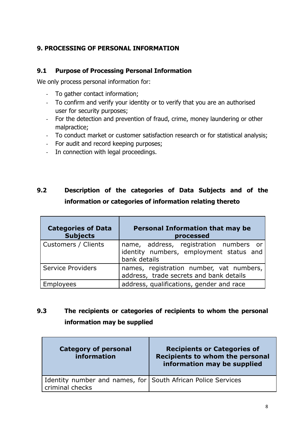### <span id="page-9-0"></span>**9. PROCESSING OF PERSONAL INFORMATION**

#### **9.1 Purpose of Processing Personal Information**

We only process personal information for:

- To gather contact information;
- To confirm and verify your identity or to verify that you are an authorised user for security purposes;
- For the detection and prevention of fraud, crime, money laundering or other malpractice;
- To conduct market or customer satisfaction research or for statistical analysis;
- For audit and record keeping purposes;
- In connection with legal proceedings.

# **9.2 Description of the categories of Data Subjects and of the information or categories of information relating thereto**

| <b>Categories of Data</b><br><b>Subjects</b> | <b>Personal Information that may be</b><br>processed                                              |  |
|----------------------------------------------|---------------------------------------------------------------------------------------------------|--|
| Customers / Clients                          | name, address, registration numbers or<br>identity numbers, employment status and<br>bank details |  |
| <b>Service Providers</b>                     | names, registration number, vat numbers,<br>address, trade secrets and bank details               |  |
| lovees                                       | address, qualifications, gender and race                                                          |  |

# **9.3 The recipients or categories of recipients to whom the personal information may be supplied**

| <b>Category of personal</b><br>information                                      | <b>Recipients or Categories of</b><br><b>Recipients to whom the personal</b><br>information may be supplied |
|---------------------------------------------------------------------------------|-------------------------------------------------------------------------------------------------------------|
| Identity number and names, for South African Police Services<br>criminal checks |                                                                                                             |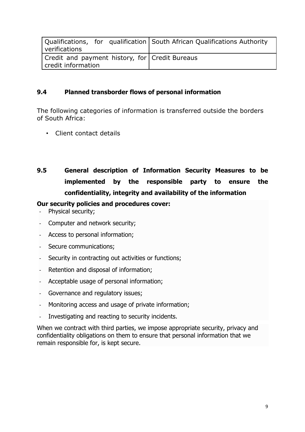| verifications                                                        | Qualifications, for qualification   South African Qualifications Authority |
|----------------------------------------------------------------------|----------------------------------------------------------------------------|
| Credit and payment history, for Credit Bureaus<br>credit information |                                                                            |

### **9.4 Planned transborder flows of personal information**

The following categories of information is transferred outside the borders of South Africa:

- Client contact details
- **9.5 General description of Information Security Measures to be implemented by the responsible party to ensure the confidentiality, integrity and availability of the information**

#### **Our security policies and procedures cover:**

- Physical security;
- Computer and network security;
- Access to personal information;
- Secure communications;
- Security in contracting out activities or functions;
- Retention and disposal of information;
- Acceptable usage of personal information;
- Governance and regulatory issues;
- Monitoring access and usage of private information;
- Investigating and reacting to security incidents.

When we contract with third parties, we impose appropriate security, privacy and confidentiality obligations on them to ensure that personal information that we remain responsible for, is kept secure.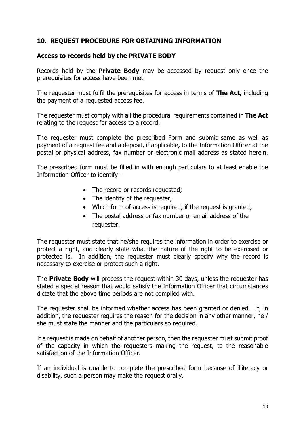#### <span id="page-11-0"></span>**10. REQUEST PROCEDURE FOR OBTAINING INFORMATION**

#### **Access to records held by the PRIVATE BODY**

Records held by the **Private Body** may be accessed by request only once the prerequisites for access have been met.

The requester must fulfil the prerequisites for access in terms of **The Act,** including the payment of a requested access fee.

The requester must comply with all the procedural requirements contained in **The Act** relating to the request for access to a record.

The requester must complete the prescribed Form and submit same as well as payment of a request fee and a deposit, if applicable, to the Information Officer at the postal or physical address, fax number or electronic mail address as stated herein.

The prescribed form must be filled in with enough particulars to at least enable the Information Officer to identify –

- The record or records requested;
- The identity of the requester,
- Which form of access is required, if the request is granted;
- The postal address or fax number or email address of the requester.

The requester must state that he/she requires the information in order to exercise or protect a right, and clearly state what the nature of the right to be exercised or protected is. In addition, the requester must clearly specify why the record is necessary to exercise or protect such a right.

The **Private Body** will process the request within 30 days, unless the requester has stated a special reason that would satisfy the Information Officer that circumstances dictate that the above time periods are not complied with.

The requester shall be informed whether access has been granted or denied. If, in addition, the requester requires the reason for the decision in any other manner, he / she must state the manner and the particulars so required.

If a request is made on behalf of another person, then the requester must submit proof of the capacity in which the requesters making the request, to the reasonable satisfaction of the Information Officer.

If an individual is unable to complete the prescribed form because of illiteracy or disability, such a person may make the request orally.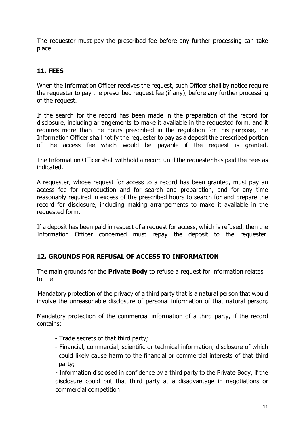The requester must pay the prescribed fee before any further processing can take place.

### <span id="page-12-0"></span>**11. FEES**

When the Information Officer receives the request, such Officer shall by notice require the requester to pay the prescribed request fee (if any), before any further processing of the request.

If the search for the record has been made in the preparation of the record for disclosure, including arrangements to make it available in the requested form, and it requires more than the hours prescribed in the regulation for this purpose, the Information Officer shall notify the requester to pay as a deposit the prescribed portion of the access fee which would be payable if the request is granted.

The Information Officer shall withhold a record until the requester has paid the Fees as indicated.

A requester, whose request for access to a record has been granted, must pay an access fee for reproduction and for search and preparation, and for any time reasonably required in excess of the prescribed hours to search for and prepare the record for disclosure, including making arrangements to make it available in the requested form.

If a deposit has been paid in respect of a request for access, which is refused, then the Information Officer concerned must repay the deposit to the requester.

### <span id="page-12-1"></span>**12. GROUNDS FOR REFUSAL OF ACCESS TO INFORMATION**

The main grounds for the **Private Body** to refuse a request for information relates to the:

Mandatory protection of the privacy of a third party that is a natural person that would involve the unreasonable disclosure of personal information of that natural person;

Mandatory protection of the commercial information of a third party, if the record contains:

- Trade secrets of that third party;
- Financial, commercial, scientific or technical information, disclosure of which could likely cause harm to the financial or commercial interests of that third party;

- Information disclosed in confidence by a third party to the Private Body, if the disclosure could put that third party at a disadvantage in negotiations or commercial competition